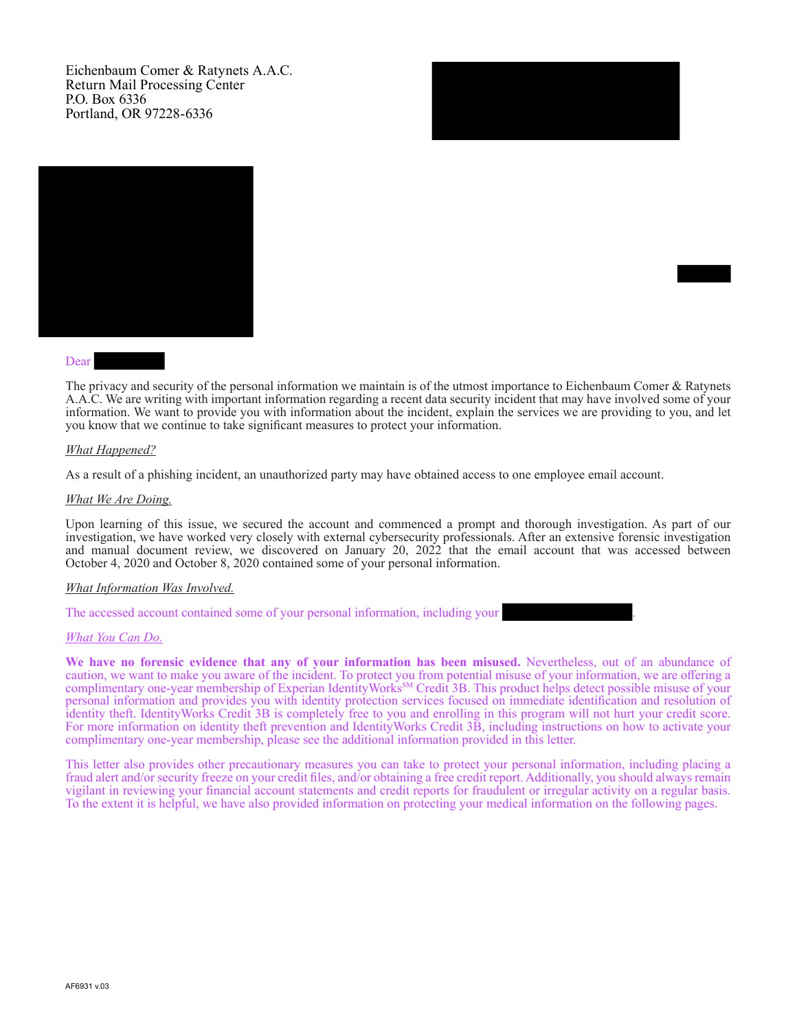Eichenbaum Comer & Ratynets A.A.C. Return Mail Processing Center P.O. Box 6336 Portland, OR 97228-6336





## Dear

The privacy and security of the personal information we maintain is of the utmost importance to Eichenbaum Comer & Ratynets A.A.C. We are writing with important information regarding a recent data security incident that may have involved some of your information. We want to provide you with information about the incident, explain the services we are providing to you, and let you know that we continue to take significant measures to protect your information.

## *What Happened?*

As a result of a phishing incident, an unauthorized party may have obtained access to one employee email account.

## *What We Are Doing.*

Upon learning of this issue, we secured the account and commenced a prompt and thorough investigation. As part of our investigation, we have worked very closely with external cybersecurity professionals. After an extensive forensic investigation and manual document review, we discovered on January 20,  $2022$  that the email account that was accessed between October 4, 2020 and October 8, 2020 contained some of your personal information.

#### *What Information Was Involved.*

The accessed account contained some of your personal information, including your .

#### *What You Can Do.*

**We have no forensic evidence that any of your information has been misused.** Nevertheless, out of an abundance of caution, we want to make you aware of the incident. To protect you from potential misuse of your information, we are offering a complimentary one-year membership of Experian IdentityWorks<sup>SM</sup> Credit 3B. This product helps detect possible misuse of your personal information and provides you with identity protection services focused on immediate identification and resolution of identity theft. IdentityWorks Credit 3B is completely free to you and enrolling in this program will not hurt your credit score. For more information on identity theft prevention and IdentityWorks Credit 3B, including instructions on how to activate your complimentary one-year membership, please see the additional information provided in this letter.

This letter also provides other precautionary measures you can take to protect your personal information, including placing a fraud alert and/or security freeze on your credit files, and/or obtaining a free credit report. Additionally, you should always remain vigilant in reviewing your financial account statements and credit reports for fraudulent or irregular activity on a regular basis. To the extent it is helpful, we have also provided information on protecting your medical information on the following pages.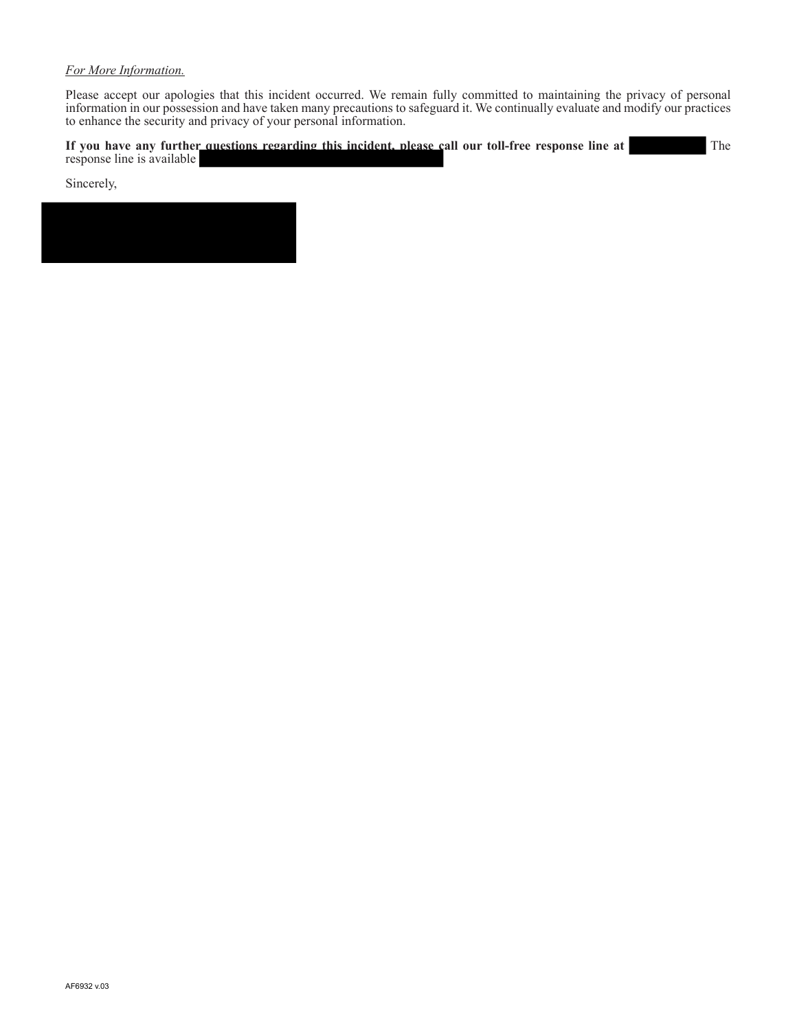# *For More Information.*

Please accept our apologies that this incident occurred. We remain fully committed to maintaining the privacy of personal information in our possession and have taken many precautions to safeguard it. We continually evaluate and modify our practices to enhance the security and privacy of your personal information.

**If you have any further questions regarding this incident, please call our toll-free response line at** The response line is available

Sincerely,

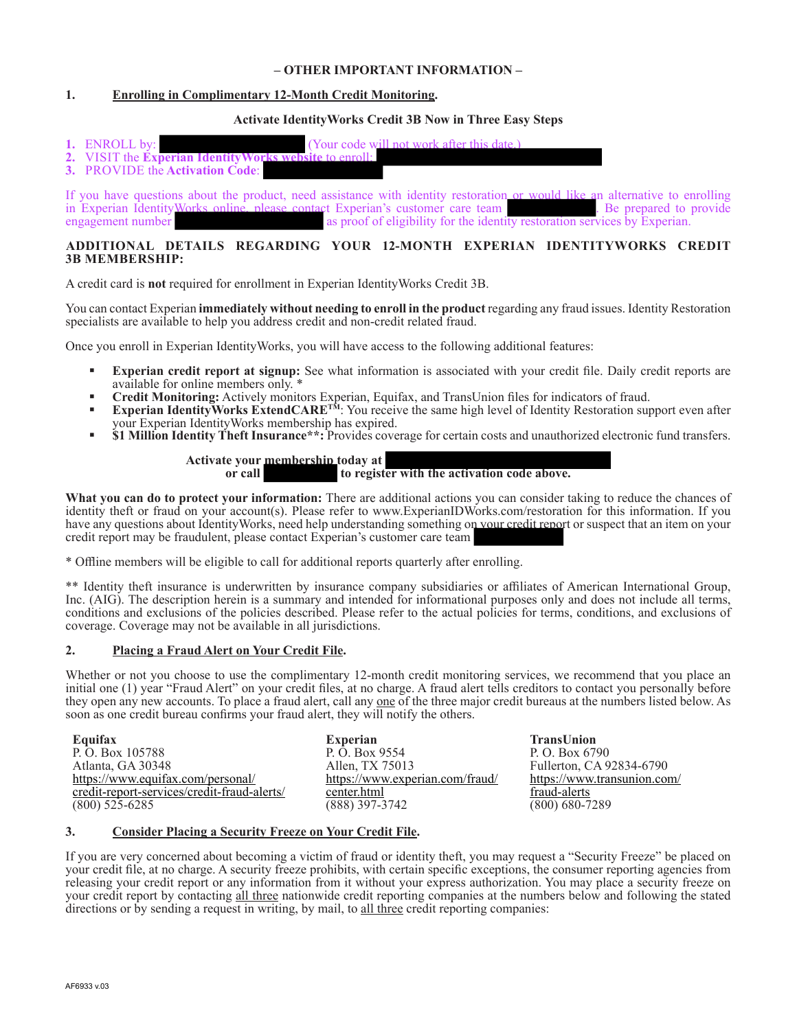# **– OTHER IMPORTANT INFORMATION –**

# **1. Enrolling in Complimentary 12-Month Credit Monitoring.**

## **Activate IdentityWorks Credit 3B Now in Three Easy Steps**

- **1. ENROLL** by: (Your code will not work after this
- **2.** VISIT the **Experian IdentityWork**
- **3.** PROVIDE the **Activation Code**:

If you have questions about the product, need assistance with identity restoration or would like an alternative to enrolling in Experian IdentityWorks online, please contact Experian's customer care team . Be prepared to provide engagement number **as proof of eligibility for the identity restoration services by Experian.** 

# **ADDITIONAL DETAILS REGARDING YOUR 12-MONTH EXPERIAN IDENTITYWORKS CREDIT 3B MEMBERSHIP:**

A credit card is **not** required for enrollment in Experian IdentityWorks Credit 3B.

You can contact Experian **immediately without needing to enroll in the product** regarding any fraud issues. Identity Restoration specialists are available to help you address credit and non-credit related fraud.

Once you enroll in Experian IdentityWorks, you will have access to the following additional features:

- **Experian credit report at signup:** See what information is associated with your credit file. Daily credit reports are available for online members only. \*
- **Credit Monitoring:** Actively monitors Experian, Equifax, and TransUnion files for indicators of fraud.
- **Experian IdentityWorks ExtendCARE<sup>TM</sup>**: You receive the same high level of Identity Restoration support even after your Experian IdentityWorks membership has expired.
- **\$1 Million Identity Theft Insurance\*\*:** Provides coverage for certain costs and unauthorized electronic fund transfers.

|           | Activate your membershin today at |                                             |
|-----------|-----------------------------------|---------------------------------------------|
| or call l |                                   | to register with the activation code above. |

**What you can do to protect your information:** There are additional actions you can consider taking to reduce the chances of identity theft or fraud on your account(s). Please refer to www.ExperianIDWorks.com/restoration for this information. If you have any questions about Identity Works, need help understanding something on your credit report or suspect that an item on your credit report may be fraudulent, please contact Experian's customer care team

\* Offline members will be eligible to call for additional reports quarterly after enrolling.

\*\* Identity theft insurance is underwritten by insurance company subsidiaries or affiliates of American International Group, Inc. (AIG). The description herein is a summary and intended for informational purposes only and does not include all terms, conditions and exclusions of the policies described. Please refer to the actual policies for terms, conditions, and exclusions of coverage. Coverage may not be available in all jurisdictions.

## **2. Placing a Fraud Alert on Your Credit File.**

Whether or not you choose to use the complimentary 12-month credit monitoring services, we recommend that you place an initial one (1) year "Fraud Alert" on your credit files, at no charge. A fraud alert tells creditors to contact you personally before they open any new accounts. To place a fraud alert, call any one of the three major credit bureaus at the numbers listed below. As soon as one credit bureau confirms your fraud alert, they will notify the others.

| Equifax                                     | <b>Experian</b>                 | <b>TransUnion</b>           |
|---------------------------------------------|---------------------------------|-----------------------------|
| P. O. Box 105788                            | P. O. Box 9554                  | P. O. Box 6790              |
| Atlanta, GA 30348                           | Allen. TX 75013                 | Fullerton, CA 92834-6790    |
| https://www.equifax.com/personal/           | https://www.experian.com/fraud/ | https://www.transunion.com/ |
| credit-report-services/credit-fraud-alerts/ | center.html                     | fraud-alerts                |
| $(800)$ 525-6285                            | $(888)$ 397-3742                | $(800)$ 680-7289            |

## **3. Consider Placing a Security Freeze on Your Credit File.**

If you are very concerned about becoming a victim of fraud or identity theft, you may request a "Security Freeze" be placed on your credit file, at no charge. A security freeze prohibits, with certain specific exceptions, the consumer reporting agencies from releasing your credit report or any information from it without your express authorization. You may place a security freeze on your credit report by contacting all three nationwide credit reporting companies at the numbers below and following the stated directions or by sending a request in writing, by mail, to all three credit reporting companies: